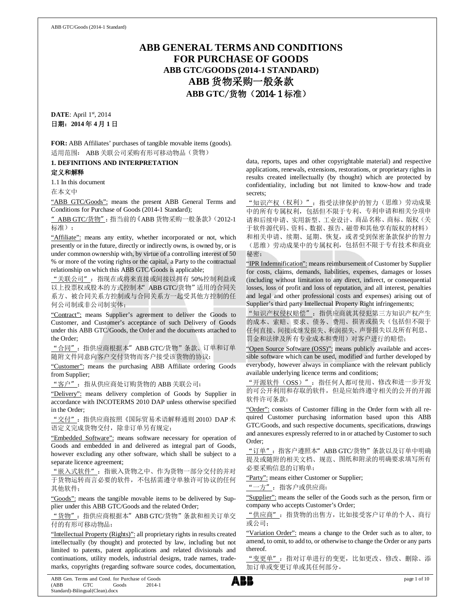# **ABB GENERAL TERMS AND CONDITIONS FOR PURCHASE OF GOODS ABB GTC/GOODS (2014-1 STANDARD) ABB** 货物采购一般条款 **ABB GTC**/货物(2014-1 标准)

**DATE**: April 1st, 2014 日期:**2014** 年 **4** 月 **1** 日

**FOR:** ABB Affiliates' purchases of tangible movable items (goods). 适用范围: ABB 关联公司采购有形可移动物品(货物)

**1. DEFINITIONS AND INTERPRETATION**

## 定义和解释

1.1 In this document

在本文中

"ABB GTC/Goods": means the present ABB General Terms and Conditions for Purchase of Goods (2014-1 Standard);

"ABB GTC/货物":指当前的《ABB 货物采购一般条款》(2012-1 标准);

"Affiliate": means any entity, whether incorporated or not, which presently or in the future, directly or indirectly owns, is owned by, or is under common ownership with, by virtue of a controlling interest of 50 % or more of the voting rights or the capital, a Party to the contractual relationship on which this ABB GTC/Goods is applicable;

"关联公司":指现在或将来直接或间接以拥有 50%控制利益或 以上投票权或股本的方式控制本"ABB GTC/货物"适用的合同关 系方、被合同关系方控制或与合同关系方一起受其他方控制的任 何公司制或非公司制实体;

"Contract": means Supplier's agreement to deliver the Goods to Customer, and Customer's acceptance of such Delivery of Goods under this ABB GTC/Goods, the Order and the documents attached to the Order;

"合同":指供应商根据本"ABB GTC/货物"条款、订单和订单 随附文件同意向客户交付货物而客户接受该货物的协议;

"Customer": means the purchasing ABB Affiliate ordering Goods from Supplier;

"客户": 指从供应商处订购货物的 ABB 关联公司;

"Delivery": means delivery completion of Goods by Supplier in accordance with INCOTERMS 2010 DAP unless otherwise specified in the Order;

"交付":指供应商按照《国际贸易术语解释通则 2010》DAP 术 语定义完成货物交付,除非订单另有规定;

"Embedded Software": means software necessary for operation of Goods and embedded in and delivered as integral part of Goods, however excluding any other software, which shall be subject to a separate licence agreement;

"嵌入式软件":指嵌入货物之中、作为货物一部分交付的并对 于货物运转而言必要的软件,不包括需遵守单独许可协议的任何 其他软件;

"Goods": means the tangible movable items to be delivered by Supplier under this ABB GTC/Goods and the related Order;

"货物": 指供应商根据本" ABB GTC/货物"条款和相关订单交 付的有形可移动物品;

"Intellectual Property (Rights)": all proprietary rights in results created intellectually (by thought) and protected by law, including but not limited to patents, patent applications and related divisionals and continuations, utility models, industrial designs, trade names, trademarks, copyrights (regarding software source codes, documentation,

data, reports, tapes and other copyrightable material) and respective applications, renewals, extensions, restorations, or proprietary rights in results created intellectually (by thought) which are protected by confidentiality, including but not limited to know-how and trade secrets;

"知识产权(权利)": 指受法律保护的智力(思维)劳动成果 中的所有专属权利,包括但不限于专利、专利申请和相关分项申 请和后续申请、实用新型、工业设计、商品名称、商标、版权(关 于软件源代码、资料、数据、报告、磁带和其他享有版权的材料) 和相关申请、续期、延期、恢复,或者受到保密条款保护的智力 (思维)劳动成果中的专属权利,包括但不限于专有技术和商业 秘密;

"IPR Indemnification": means reimbursement of Customer by Supplier for costs, claims, demands, liabilities, expenses, damages or losses (including without limitation to any direct, indirect, or consequential losses, loss of profit and loss of reputation, and all interest, penalties and legal and other professional costs and expenses) arising out of Supplier's third party Intellectual Property Right infringements;

"知识产权侵权赔偿":指供应商就其侵犯第三方知识产权产生 的成本、索赔、要求、债务、费用、损害或损失(包括但不限于 任何直接、间接或继发损失、利润损失、声誉损失以及所有利息、 罚金和法律及所有专业成本和费用)对客户进行的赔偿;

"Open Source Software (OSS)": means publicly available and accessible software which can be used, modified and further developed by everybody, however always in compliance with the relevant publicly available underlying licence terms and conditions;

"开源软件(OSS)": 指任何人都可使用、修改和进一步开发 的可公开利用和存取的软件,但是应始终遵守相关的公开的开源 软件许可条款;

"Order": consists of Customer filling in the Order form with all required Customer purchasing information based upon this ABB GTC/Goods, and such respective documents, specifications, drawings and annexures expressly referred to in or attached by Customer to such Order;

"订单": 指客户遵照本" ABB GTC/货物"条款以及订单中明确 提及或随附的相关文档、规范、图纸和附录的明确要求填写所有 必要采购信息的订购单;

"Party": means either Customer or Supplier;

"一方":指客户或供应商;

"Supplier": means the seller of the Goods such as the person, firm or company who accepts Customer's Order;

"供应商":指货物的出售方,比如接受客户订单的个人、商行 或公司;

"Variation Order": means a change to the Order such as to alter, to amend, to omit, to add to, or otherwise to change the Order or any parts thereof.

"变更单":指对订单进行的变更,比如更改、修改、删除、添 加订单或变更订单或其任何部分。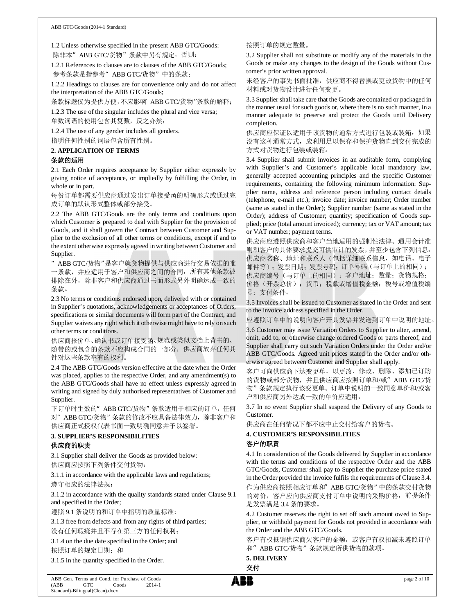1.2 Unless otherwise specified in the present ABB GTC/Goods: 除非本" ABB GTC/货物"条款中另有规定, 否则:

1.2.1 References to clauses are to clauses of the ABB GTC/Goods; 参考条款是指参考"ABB GTC/货物"中的条款;

1.2.2 Headings to clauses are for convenience only and do not affect the interpretation of the ABB GTC/Goods;

条款标题仅为提供方便,不应影响 ABB GTC/货物"条款的解释;

1.2.3 The use of the singular includes the plural and vice versa; 单数词语的使用包含其复数,反之亦然;

1.2.4 The use of any gender includes all genders. 指明任何性别的词语包含所有性别。

#### **2. APPLICATION OF TERMS**

# 条款的适用

2.1 Each Order requires acceptance by Supplier either expressly by giving notice of acceptance, or impliedly by fulfilling the Order, in whole or in part.

每份订单都需要供应商通过发出订单接受函的明确形式或通过完 成订单的默认形式整体或部分接受。

2.2 The ABB GTC/Goods are the only terms and conditions upon which Customer is prepared to deal with Supplier for the provision of Goods, and it shall govern the Contract between Customer and Supplier to the exclusion of all other terms or conditions, except if and to the extent otherwise expressly agreed in writing between Customer and Supplier.

"ABB GTC/货物"是客户就货物提供与供应商进行交易依据的唯 一条款,并应适用于客户和供应商之间的合同,所有其他条款被 排除在外,除非客户和供应商通过书面形式另外明确达成一致的 条款。

2.3 No terms or conditions endorsed upon, delivered with or contained in Supplier's quotations, acknowledgements or acceptances of Orders, specifications or similar documents will form part of the Contract, and Supplier waives any right which it otherwise might have to rely on such other terms or conditions.

供应商报价单、确认书或订单接受函、规范或类似文档上背书的、 随带的或包含的条款不应构成合同的一部分,供应商放弃任何其 针对这些条款享有的权利。

2.4 The ABB GTC/Goods version effective at the date when the Order was placed, applies to the respective Order, and any amendment(s) to the ABB GTC/Goods shall have no effect unless expressly agreed in writing and signed by duly authorised representatives of Customer and Supplier.

下订单时生效的" ABB GTC/货物"条款适用于相应的订单,任何 对"ABB GTC/货物"条款的修改不应具备法律效力,除非客户和 供应商正式授权代表书面一致明确同意并予以签署。

# **3. SUPPLIER'S RESPONSIBILITIES**

## 供应商的职责

3.1 Supplier shall deliver the Goods as provided below: 供应商应按照下列条件交付货物:

3.1.1 in accordance with the applicable laws and regulations; 遵守相应的法律法规;

3.1.2 in accordance with the quality standards stated under Clause 9.1 and specified in the Order;

遵照 9.1 条说明的和订单中指明的质量标准;

3.1.3 free from defects and from any rights of third parties;

没有任何瑕疵并且不存在第三方的任何权利;

3.1.4 on the due date specified in the Order; and 按照订单的规定日期;和

3.1.5 in the quantity specified in the Order.

#### 按照订单的规定数量。

3.2 Supplier shall not substitute or modify any of the materials in the Goods or make any changes to the design of the Goods without Customer's prior written approval.

未经客户的事先书面批准,供应商不得替换或更改货物中的任何 材料或对货物设计进行任何变更。

3.3 Supplier shall take care that the Goods are contained or packaged in the manner usual for such goods or, where there is no such manner, in a manner adequate to preserve and protect the Goods until Delivery completion.

供应商应保证以适用于该货物的通常方式进行包装或装箱,如果 没有这种通常方式,应利用足以保存和保护货物直到交付完成的 方式对货物进行包装或装箱。

3.4 Supplier shall submit invoices in an auditable form, complying with Supplier's and Customer's applicable local mandatory law, generally accepted accounting principles and the specific Customer requirements, containing the following minimum information: Supplier name, address and reference person including contact details (telephone, e-mail etc.); invoice date; invoice number; Order number (same as stated in the Order); Supplier number (same as stated in the Order); address of Customer; quantity; specification of Goods supplied; price (total amount invoiced); currency; tax or VAT amount; tax or VAT number; payment terms.

供应商应遵照供应商和客户当地适用的强制性法律、通用会计准 则和客户的具体要求提交可供审计的发票,并至少包含下列信息: 供应商名称、地址和联系人(包括详细联系信息,如电话、电子 邮件等);发票日期;发票号码;订单号码(与订单上的相同); 供应商编号(与订单上的相同); 客户地址; 数量; 货物规格; 价格(开票总价);货币;税款或增值税金额;税号或增值税编 号;支付条件。

3.5 Invoices shall be issued to Customer as stated in the Order and sent to the invoice address specified in the Order.

应遵照订单中的说明向客户开具发票并发送到订单中说明的地址。

3.6 Customer may issue Variation Orders to Supplier to alter, amend, omit, add to, or otherwise change ordered Goods or parts thereof, and Supplier shall carry out such Variation Orders under the Order and/or ABB GTC/Goods. Agreed unit prices stated in the Order and/or otherwise agreed between Customer and Supplier shall apply.

客户可向供应商下达变更单,以更改、修改、删除、添加已订购 的货物或部分货物,并且供应商应按照订单和/或"ABB GTC/货 物"条款规定执行该变更单。订单中说明的一致同意单价和/或客 户和供应商另外达成一致的单价应适用。

3.7 In no event Supplier shall suspend the Delivery of any Goods to Customer.

供应商在任何情况下都不应中止交付给客户的货物。

## **4. CUSTOMER'S RESPONSIBILITIES**

#### 客户的职责

4.1 In consideration of the Goods delivered by Supplier in accordance with the terms and conditions of the respective Order and the ABB GTC/Goods, Customer shall pay to Supplier the purchase price stated in the Order provided the invoice fulfils the requirements of Clause 3.4. 作为供应商按照相应订单和"ABB GTC/货物"中的条款交付货物 的对价,客户应向供应商支付订单中说明的采购价格,前提条件 是发票满足 3.4 条的要求。

4.2 Customer reserves the right to set off such amount owed to Supplier, or withhold payment for Goods not provided in accordance with the Order and the ABB GTC/Goods.

客户有权抵销供应商欠客户的金额,或客户有权扣减未遵照订单 和"ABB GTC/货物"条款规定所供货物的款项。

# **5. DELIVERY**

交付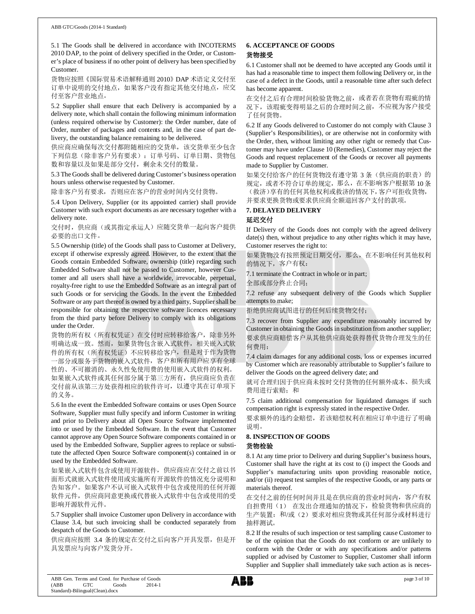5.1 The Goods shall be delivered in accordance with INCOTERMS 2010 DAP, to the point of delivery specified in the Order, or Customer's place of business if no other point of delivery has been specified by Customer.

货物应按照《国际贸易术语解释通则 2010》DAP 术语定义交付至 订单中说明的交付地点,如果客户没有指定其他交付地点,应交 付至客户营业地点。

5.2 Supplier shall ensure that each Delivery is accompanied by a delivery note, which shall contain the following minimum information (unless required otherwise by Customer): the Order number, date of Order, number of packages and contents and, in the case of part delivery, the outstanding balance remaining to be delivered.

供应商应确保每次交付都附随相应的交货单,该交货单至少包含 下列信息(除非客户另有要求):订单号码、订单日期、货物包 数和容量以及如果是部分交付,剩余未交付的数量。

5.3 The Goods shall be delivered during Customer's business operation hours unless otherwise requested by Customer.

除非客户另有要求,否则应在客户的营业时间内交付货物。

5.4 Upon Delivery, Supplier (or its appointed carrier) shall provide Customer with such export documents as are necessary together with a delivery note.

交付时,供应商(或其指定承运人)应随交货单一起向客户提供 必要的出口文件。

5.5 Ownership (title) of the Goods shall pass to Customer at Delivery, except if otherwise expressly agreed. However, to the extent that the Goods contain Embedded Software, ownership (title) regarding such Embedded Software shall not be passed to Customer, however Customer and all users shall have a worldwide, irrevocable, perpetual, royalty-free right to use the Embedded Software as an integral part of such Goods or for servicing the Goods. In the event the Embedded Software or any part thereof is owned by a third party, Supplier shall be responsible for obtaining the respective software licences necessary from the third party before Delivery to comply with its obligations under the Order.

货物的所有权(所有权凭证)在交付时应转移给客户,除非另外 明确达成一致。然而,如果货物包含嵌入式软件,相关嵌入式软 件的所有权(所有权凭证)不应转移给客户,但是对于作为货物 一部分或服务于货物的嵌入式软件,客户和所有用户应享有全球 性的、不可撤消的、永久性免使用费的使用嵌入式软件的权利。 如果嵌入式软件或其任何部分属于第三方所有,供应商应负责在 交付前从该第三方处获得相应的软件许可,以遵守其在订单项下

的义务。

5.6 In the event the Embedded Software contains or uses Open Source Software, Supplier must fully specify and inform Customer in writing and prior to Delivery about all Open Source Software implemented into or used by the Embedded Software. In the event that Customer cannot approve any Open Source Software components contained in or used by the Embedded Software, Supplier agrees to replace or substitute the affected Open Source Software component(s) contained in or used by the Embedded Software.

如果嵌入式软件包含或使用开源软件,供应商应在交付之前以书 面形式就嵌入式软件使用或实施所有开源软件的情况充分说明和 告知客户。如果客户不认可嵌入式软件中包含或使用的任何开源 软件元件,供应商同意更换或代替嵌入式软件中包含或使用的受 影响开源软件元件。

5.7 Supplier shall invoice Customer upon Delivery in accordance with Clause 3.4, but such invoicing shall be conducted separately from despatch of the Goods to Customer.

供应商应按照 3.4 条的规定在交付之后向客户开具发票, 但是开 具发票应与向客户发货分开。

#### **6. ACCEPTANCE OF GOODS** 货物接受

6.1 Customer shall not be deemed to have accepted any Goods until it has had a reasonable time to inspect them following Delivery or, in the case of a defect in the Goods, until a reasonable time after such defect has become apparent.

在交付之后有合理时间检验货物之前,或者若在货物有瑕疵的情 况下,该瑕疵变得明显之后的合理时间之前,不应视为客户接受 了任何货物。

6.2 If any Goods delivered to Customer do not comply with Clause 3 (Supplier's Responsibilities), or are otherwise not in conformity with the Order, then, without limiting any other right or remedy that Customer may have under Clause 10 (Remedies), Customer may reject the Goods and request replacement of the Goods or recover all payments made to Supplier by Customer.

如果交付给客户的任何货物没有遵守第3条(供应商的职责)的 规定,或者不符合订单的规定,那么,在不影响客户根据第 10 条 (救济)享有的任何其他权利或救济的情况下,客户可拒收货物, 并要求更换货物或要求供应商全额退回客户支付的款项。

## **7. DELAYED DELIVERY** 延迟交付

If Delivery of the Goods does not comply with the agreed delivery date(s) then, without prejudice to any other rights which it may have, Customer reserves the right to:

如果货物没有按照预定日期交付,那么,在不影响任何其他权利 的情况下,客户有权:

7.1 terminate the Contract in whole or in part;

全部或部分终止合同;

7.2 refuse any subsequent delivery of the Goods which Supplier attempts to make;

拒绝供应商试图进行的任何后续货物交付;

7.3 recover from Supplier any expenditure reasonably incurred by Customer in obtaining the Goods in substitution from another supplier; 要求供应商赔偿客户从其他供应商处获得替代货物合理发生的任 何费用;

7.4 claim damages for any additional costs, loss or expenses incurred by Customer which are reasonably attributable to Supplier's failure to deliver the Goods on the agreed delivery date; and

就可合理归因于供应商未按时交付货物的任何额外成本、损失或 费用进行索赔;和

7.5 claim additional compensation for liquidated damages if such compensation right is expressly stated in the respective Order.

要求额外的违约金赔偿,若该赔偿权利在相应订单中进行了明确 说明。

## **8. INSPECTION OF GOODS**

#### 货物检验

8.1 At any time prior to Delivery and during Supplier's business hours, Customer shall have the right at its cost to (i) inspect the Goods and Supplier's manufacturing units upon providing reasonable notice, and/or (ii) request test samples of the respective Goods, or any parts or materials thereof.

在交付之前的任何时间并且是在供应商的营业时间内,客户有权 自担费用(1) 在发出合理通知的情况下,检验货物和供应商的 生产装置;和/或(2)要求对相应货物或其任何部分或材料进行 抽样测试。

8.2 If the results of such inspection or test sampling cause Customer to be of the opinion that the Goods do not conform or are unlikely to conform with the Order or with any specifications and/or patterns supplied or advised by Customer to Supplier, Customer shall inform Supplier and Supplier shall immediately take such action as is neces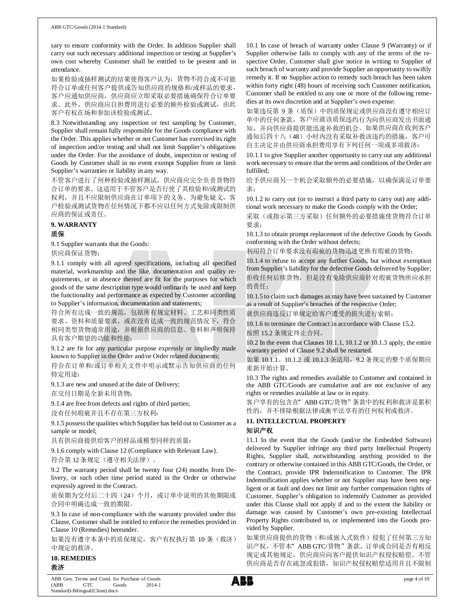sary to ensure conformity with the Order. In addition Supplier shall carry out such necessary additional inspection or testing at Supplier's own cost whereby Customer shall be entitled to be present and in attendance.

如果检验或抽样测试的结果使得客户认为,货物不符合或不可能 符合订单或任何客户提供或告知供应商的规格和/或样品的要求, 客户应通知供应商,供应商应立即采取必要措施确保符合订单要 求。此外,供应商应自担费用进行必要的额外检验或测试,由此 客户有权在场和参加该检验或测试。

8.3 Notwithstanding any inspection or test sampling by Customer, Supplier shall remain fully responsible for the Goods compliance with the Order. This applies whether or not Customer has exercised its right of inspection and/or testing and shall not limit Supplier's obligations under the Order. For the avoidance of doubt, inspection or testing of Goods by Customer shall in no event exempt Supplier from or limit Supplier's warranties or liability in any way.

不管客户进行了何种检验或抽样测试,供应商应完全负责货物符 合订单的要求。这适用于不管客户是否行使了其检验和/或测试的 权利,并且不应限制供应商在订单项下的义务。为避免疑义,客 户检验或测试货物在任何情况下都不应以任何方式免除或限制供 应商的保证或责任。

#### **9. WARRANTY**

# 质保

9.1 Supplier warrants that the Goods:

供应商保证货物:

9.1.1 comply with all agreed specifications, including all specified material, workmanship and the like, documentation and quality requirements, or in absence thereof are fit for the purposes for which goods of the same description type would ordinarily be used and keep the functionality and performance as expected by Customer according to Supplier's information, documentation and statements;

符合所有达成一致的规范,包括所有规定材料、工艺和同类性质 要求、资料和质量要求,或在没有达成一致的规范情况下,符合 相同类型货物通常用途,并根据供应商的信息、资料和声明保持 具有客户期望的功能和性能;

9.1.2 are fit for any particular purpose expressly or impliedly made known to Supplier in the Order and/or Order related documents;

符合在订单和/或订单相关文件中明示或默示告知供应商的任何 特定用途;

9.1.3 are new and unused at the date of Delivery;

在交付日期是全新未用货物;

9.1.4 are free from defects and rights of third parties;

没有任何瑕疵并且不存在第三方权利;

9.1.5 possess the qualities which Supplier has held out to Customer as a sample or model;

具有供应商提供给客户的样品或模型同样的质量;

9.1.6 comply with Clause 12 (Compliance with Relevant Law). 符合第12条规定(遵守相关法律)。

9.2 The warranty period shall be twenty four (24) months from Delivery, or such other time period stated in the Order or otherwise expressly agreed in the Contract.

质保期为交付后二十四(24)个月,或订单中说明的其他期限或 合同中明确达成一致的期限。

9.3 In case of non-compliance with the warranty provided under this Clause, Customer shall be entitled to enforce the remedies provided in Clause 10 (Remedies) hereunder.

如果没有遵守本条中的质保规定,客户有权执行第 10 条(救济) 中规定的救济。

**10. REMEDIES** 救济

10.1 In case of breach of warranty under Clause 9 (Warranty) or if Supplier otherwise fails to comply with any of the terms of the respective Order, Customer shall give notice in writing to Supplier of such breach of warranty and provide Supplier an opportunity to swiftly remedy it. If no Supplier action to remedy such breach has been taken within forty eight (48) hours of receiving such Customer notification, Customer shall be entitled to any one or more of the following remedies at its own discretion and at Supplier's own expense:

如果违反第 9 条(质保)中的质保规定或供应商没有遵守相应订 单中的任何条款,客户应就该质保违约行为向供应商发出书面通 知,并向供应商提供能迅速补救的机会。如果供应商在收到客户 通知后四十八(48)小时内没有采取补救该违约的措施, 客户可 自主决定并由供应商承担费用享有下列任何一项或多项救济:

10.1.1 to give Supplier another opportunity to carry out any additional work necessary to ensure that the terms and conditions of the Order are fulfilled;

给予供应商另一个机会采取额外的必要措施,以确保满足订单要 求;

10.1.2 to carry out (or to instruct a third party to carry out) any additional work necessary to make the Goods comply with the Order;

采取(或指示第三方采取)任何额外的必要措施使货物符合订单 要求;

10.1.3 to obtain prompt replacement of the defective Goods by Goods conforming with the Order without defects;

利用符合订单要求没有瑕疵的货物迅速更换有瑕疵的货物;

10.1.4 to refuse to accept any further Goods, but without exemption from Supplier's liability for the defective Goods delivered by Supplier; 拒收任何后续货物,但是没有免除供应商针对瑕疵货物所应承担 的责任;

10.1.5 to claim such damages as may have been sustained by Customer as a result of Supplier's breaches of the respective Order;

就供应商违反订单规定给客户遭受的损失进行索赔;

10.1.6 to terminate the Contract in accordance with Clause 15.2. 按照 15.2 条规定终止合同。

10.2 In the event that Clauses 10.1.1, 10.1.2 or 10.1.3 apply, the entire warranty period of Clause 9.2 shall be restarted.

如果 10.1.1、10.1.2 或 10.1.3 条适用,9.2 条规定的整个质保期应 重新开始计算。

10.3 The rights and remedies available to Customer and contained in the ABB GTC/Goods are cumulative and are not exclusive of any rights or remedies available at law or in equity.

客户享有的包含在"ABB GTC/货物"条款中的权利和救济是累积 性的,并不排除根据法律或衡平法享有的任何权利或救济。

## **11. INTELLECTUAL PROPERTY**

#### 知识产权

11.1 In the event that the Goods (and/or the Embedded Software) delivered by Supplier infringe any third party Intellectual Property Rights, Supplier shall, notwithstanding anything provided to the contrary or otherwise contained in this ABB GTC/Goods, the Order, or the Contract, provide IPR Indemnification to Customer. The IPR Indemnification applies whether or not Supplier may have been negligent or at fault and does not limit any further compensation rights of Customer. Supplier's obligation to indemnify Customer as provided under this Clause shall not apply if and to the extent the liability or damage was caused by Customer's own pre-existing Intellectual Property Rights contributed to, or implemented into the Goods provided by Supplier.

如果供应商提供的货物(和/或嵌入式软件)侵犯了任何第三方知 识产权,不管本"ABB GTC/货物"条款、订单或合同是否有相反 规定或其他规定,供应商应向客户提供知识产权侵权赔偿。不管 供应商是否存在疏忽或犯错,知识产权侵权赔偿适用并且不限制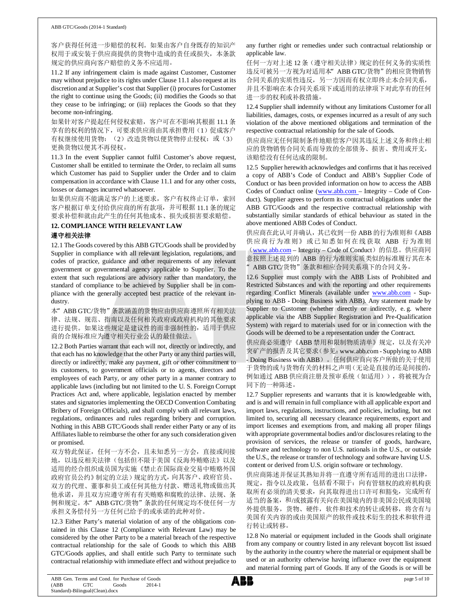#### ABB GTC/Goods (2014-1 Standard)

客户获得任何进一步赔偿的权利。如果由客户自身既存的知识产 权用于或安装于供应商提供的货物中造成的责任或损失,本条款 规定的供应商向客户赔偿的义务不应适用。

11.2 If any infringement claim is made against Customer, Customer may without prejudice to its rights under Clause 11.1 also request at its discretion and at Supplier's cost that Supplier (i) procures for Customer the right to continue using the Goods; (ii) modifies the Goods so that they cease to be infringing; or (iii) replaces the Goods so that they become non-infringing.

如果针对客户提起任何侵权索赔,客户可在不影响其根据 11.1 条 享有的权利的情况下,可要求供应商由其承担费用(1)促成客户 有权继续使用货物;(2)改造货物以便货物停止侵权;或(3) 更换货物以便其不再侵权。

11.3 In the event Supplier cannot fulfil Customer's above request, Customer shall be entitled to terminate the Order, to reclaim all sums which Customer has paid to Supplier under the Order and to claim compensation in accordance with Clause 11.1 and for any other costs, losses or damages incurred whatsoever.

如果供应商不能满足客户的上述要求,客户有权终止订单,索回 客户根据订单支付给供应商的所有款项,并可根据 11.1 条的规定 要求补偿和就由此产生的任何其他成本、损失或损害要求赔偿。

#### **12. COMPLIANCE WITH RELEVANT LAW** 遵守相关法律

12.1 The Goods covered by this ABB GTC/Goods shall be provided by Supplier in compliance with all relevant legislation, regulations, and codes of practice, guidance and other requirements of any relevant government or governmental agency applicable to Supplier. To the extent that such regulations are advisory rather than mandatory, the standard of compliance to be achieved by Supplier shall be in compliance with the generally accepted best practice of the relevant industry.

本"ABB GTC/货物"条款涵盖的货物应由供应商遵照所有相关法 律、法规、规范、指南以及任何相关政府或政府机构的其他要求 进行提供。如果这些规定是建议性的而非强制性的,适用于供应 商的合规标准应为遵守相关行业公认的最佳做法。

12.2 Both Parties warrant that each will not, directly or indirectly, and that each has no knowledge that the other Party or any third parties will, directly or indirectly, make any payment, gift or other commitment to its customers, to government officials or to agents, directors and employees of each Party, or any other party in a manner contrary to applicable laws (including but not limited to the U. S. Foreign Corrupt Practices Act and, where applicable, legislation enacted by member states and signatories implementing the OECD Convention Combating Bribery of Foreign Officials), and shall comply with all relevant laws, regulations, ordinances and rules regarding bribery and corruption. Nothing in this ABB GTC/Goods shall render either Party or any of its Affiliates liable to reimburse the other for any such consideration given or promised.

双方特此保证,任何一方不会,且未知悉另一方会,直接或间接 地,以违反相关法律(包括但不限于美国《反海外贿赂法》以及 适用的经合组织成员国为实施《禁止在国际商业交易中贿赂外国 政府官员公约》制定的立法)规定的方式,向其客户、政府官员、 双方的代理、董事和员工或任何其他方付款、赠送礼物或做出其 他承诺,并且双方应遵守所有有关贿赂和腐败的法律、法规、条 例和规定。本"ABB GTC/货物"条款的任何规定均不使任何一方 承担义务偿付另一方任何已给予的或承诺的此种对价。

12.3 Either Party's material violation of any of the obligations contained in this Clause 12 (Compliance with Relevant Law) may be considered by the other Party to be a material breach of the respective contractual relationship for the sale of Goods to which this ABB GTC/Goods applies, and shall entitle such Party to terminate such contractual relationship with immediate effect and without prejudice to

any further right or remedies under such contractual relationship or applicable law.

任何一方对上述 12 条(遵守相关法律)规定的任何义务的实质性 违反可被另一方视为对适用本"ABB GTC/货物"的相应货物销售 合同关系的实质性违反,另一方因而有权立即终止本合同关系, 并且不影响在本合同关系项下或适用的法律项下对此享有的任何 进一步的权利或补救措施。

12.4 Supplier shall indemnify without any limitations Customer for all liabilities, damages, costs, or expenses incurred as a result of any such violation of the above mentioned obligations and termination of the respective contractual relationship for the sale of Goods.

供应商应无任何限制条件地赔偿客户因其违反上述义务和终止相 应的货物销售合同关系而导致的全部债务、损害、费用或开支, 该赔偿没有任何达成的限制。

12.5 Supplier herewith acknowledges and confirms that it has received a copy of ABB's Code of Conduct and ABB's Supplier Code of Conduct or has been provided information on how to access the ABB Codes of Conduct online (www.abb.com – Integrity – Code of Conduct). Supplier agrees to perform its contractual obligations under the ABB GTC/Goods and the respective contractual relationship with substantially similar standards of ethical behaviour as stated in the above mentioned ABB Codes of Conduct.

供应商在此认可并确认,其已收到一份 ABB 的行为准则和《ABB 供应商行为准则》或已知悉如何在线获取 ABB 行为准则 (www.abb.com - Integrity - Code of Conduct) 的信息。供应商同 意按照上述提到的 ABB 的行为准则实质类似的标准履行其在本 "ABB GTC/货物"条款和相应合同关系项下的合同义务。

12.6 Supplier must comply with the ABB Lists of Prohibited and Restricted Substances and with the reporting and other requirements regarding Conflict Minerals (available under www.abb.com - Supplying to ABB - Doing Business with ABB). Any statement made by Supplier to Customer (whether directly or indirectly, e.g. where applicable via the ABB Supplier Registration and Pre-Qualification System) with regard to materials used for or in connection with the Goods will be deemed to be a representation under the Contract.

供应商必须遵守《ABB 禁用和限制物质清单》规定,以及有关冲 突矿产的报告及其它要求(参见:www.abb.com - Supplying to ABB - Doing Business with ABB)。任何供应商向客户所做的关于使用 于货物的或与货物有关的材料之声明(无论是直接的还是间接的, 例如通过 ABB 供应商注册及预审系统(如适用)),将被视为合 同下的一种陈述。

12.7 Supplier represents and warrants that it is knowledgeable with, and is and will remain in full compliance with all applicable export and import laws, regulations, instructions, and policies, including, but not limited to, securing all necessary clearance requirements, export and import licenses and exemptions from, and making all proper filings with appropriate governmental bodies and/or disclosures relating to the provision of services, the release or transfer of goods, hardware, software and technology to non U.S. nationals in the U.S., or outside the U.S., the release or transfer of technology and software having U.S. content or derived from U.S. origin software or technology.

供应商陈述并保证其熟知并将一直遵守所有适用的进出口法律, 规定,指令以及政策,包括看不限于:向有管辖权的政府机构获 取所有必须的清关要求,向其取得进出口许可和豁免,完成所有 适当的备案,和/或披露有关向在美国境内的非美国公民或美国境 外提供服务,货物、硬件,软件和技术的转让或转移,将含有与 美国有关内容的或由美国原产的软件或技术衍生的技术和软件进 行转让或转移。

12.8 No material or equipment included in the Goods shall originate from any company or country listed in any relevant boycott list issued by the authority in the country where the material or equipment shall be used or an authority otherwise having influence over the equipment and material forming part of Goods. If any of the Goods is or will be

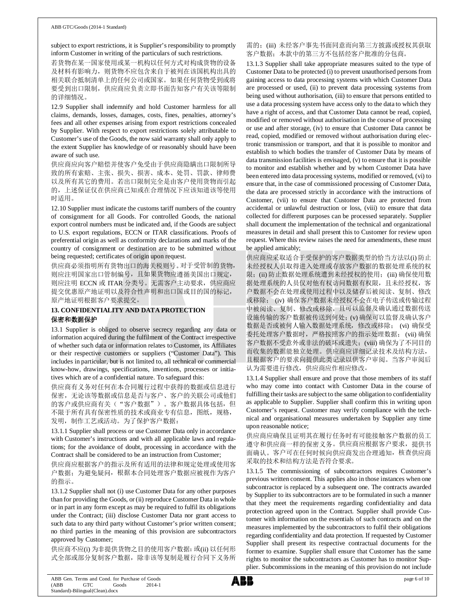subject to export restrictions, it is Supplier's responsibility to promptly inform Customer in writing of the particulars of such restrictions.

若货物在某一国家使用或某一机构以任何方式对构成货物的设备 及材料有影响力,则货物不应包含来自于被列在该国机构出具的 相关联合抵制清单上的任何公司或国家。如果任何货物受到或将 要受到出口限制,供应商应负责立即书面告知客户有关该等限制 的详细情况。

12.9 Supplier shall indemnify and hold Customer harmless for all claims, demands, losses, damages, costs, fines, penalties, attorney's fees and all other expenses arising from export restrictions concealed by Supplier. With respect to export restrictions solely attributable to Customer's use of the Goods, the now said warranty shall only apply to the extent Supplier has knowledge of or reasonably should have been aware of such use.

供应商应向客户赔偿并使客户免受由于供应商隐瞒出口限制所导 致的所有索赔、主张、损失、损害、成本、处罚、罚款、律师费 以及所有其它的费用。若出口限制完全是由客户使用货物而引起 的,上述保证仅在供应商已知或在合理情况下应该知道该等使用 时适用。

12.10 Supplier must indicate the customs tariff numbers of the country of consignment for all Goods. For controlled Goods, the national export control numbers must be indicated and, if the Goods are subject to U.S. export regulations, ECCN or ITAR classifications. Proofs of preferential origin as well as conformity declarations and marks of the country of consignment or destination are to be submitted without being requested; certificates of origin upon request.

供应商必须指明所有货物出口的海关税则号。对于受管制的货物, 则应注明国家出口管制编号,且如果货物应遵循美国出口规定, 则应注明 ECCN 或 ITAR 分类号。无需客户主动要求,供应商应 提交优惠原产地证明以及符合性声明和出口国或目的国的标记, 原产地证明根据客户要求提交。

# **13. CONFIDENTIALITY AND DATA PROTECTION** 保密和数据保护

13.1 Supplier is obliged to observe secrecy regarding any data or information acquired during the fulfilment of the Contract irrespective of whether such data or information relates to Customer, its Affiliates or their respective customers or suppliers ("Customer Data"). This includes in particular, but is not limited to, all technical or commercial know-how, drawings, specifications, inventions, processes or initiatives which are of a confidential nature. To safeguard this:

供应商有义务对任何在本合同履行过程中获得的数据或信息进行 保密,无论该等数据或信息是否与客户、客户的关联公司或他们 的客户或供应商有关("客户数据")。客户数据具体包括,但 不限于所有具有保密性质的技术或商业专有信息, 图纸, 规格, 发明,制作工艺或活动。为了保护客户数据:

13.1.1 Supplier shall process or use Customer Data only in accordance with Customer's instructions and with all applicable laws and regulations; for the avoidance of doubt, processing in accordance with the Contract shall be considered to be an instruction from Customer;

供应商应根据客户的指示及所有适用的法律和规定处理或使用客 户数据;为避免疑问,根据本合同处理客户数据应被视作为客户 的指示。

13.1.2 Supplier shall not (i) use Customer Data for any other purposes than for providing the Goods, or (ii) reproduce Customer Data in whole or in part in any form except as may be required to fulfil its obligations under the Contract; (iii) disclose Customer Data nor grant access to such data to any third party without Customer's prior written consent; no third parties in the meaning of this provision are subcontractors approved by Customer;

供应商不应(i) 为非提供货物之目的使用客户数据; 或(ii) 以任何形 式全部或部分复制客户数据,除非该等复制是履行合同下义务所 需的;(iii) 未经客户事先书面同意而向第三方披露或授权其获取 客户数据;本款中的第三方不包括经客户批准的分包商。

13.1.3 Supplier shall take appropriate measures suited to the type of Customer Data to be protected (i) to prevent unauthorised persons from gaining access to data processing systems with which Customer Data are processed or used, (ii) to prevent data processing systems from being used without authorisation, (iii) to ensure that persons entitled to use a data processing system have access only to the data to which they have a right of access, and that Customer Data cannot be read, copied, modified or removed without authorisation in the course of processing or use and after storage, (iv) to ensure that Customer Data cannot be read, copied, modified or removed without authorisation during electronic transmission or transport, and that it is possible to monitor and establish to which bodies the transfer of Customer Data by means of data transmission facilities is envisaged, (v) to ensure that it is possible to monitor and establish whether and by whom Customer Data have been entered into data processing systems, modified or removed, (vi) to ensure that, in the case of commissioned processing of Customer Data, the data are processed strictly in accordance with the instructions of Customer, (vii) to ensure that Customer Data are protected from accidental or unlawful destruction or loss, (viii) to ensure that data collected for different purposes can be processed separately. Supplier shall document the implementation of the technical and organizational measures in detail and shall present this to Customer for review upon request. Where this review raises the need for amendments, these must be applied amicably;

供应商应采取适合于受保护的客户数据类型的恰当方法以(i) 防止 未经授权人员取得进入处理或存放客户数据的数据处理系统的权 限;(ii) 防止数据处理系统遭到未经授权的使用;(iii) 确保使用数 据处理系统的人员仅对他有权访问数据有权限,且未经授权,客 户数据不会在处理或使用过程中以及储存后被阅读、复制、修改 或移除; (iv) 确保客户数据未经授权不会在电子传送或传输过程 中被阅读、复制、修改或移除,且可以监督及确认通过数据传送 设施传输的客户数据被传送到何处; (v) 确保可以监督及确认客户 数据是否或被何人输入数据处理系统,修改或移除; (vi) 确保受 委托处理客户数据时,严格按照客户的指示处理数据; (vii) 确保 客户数据不受意外或非法的破坏或遗失; (viii) 确保为了不同目的 而收集的数据能独立处理。供应商应详细记录技术及结构方法, 且根据客户的要求向提供此类记录以供客户审阅。当客户审阅后 认为需要进行修改,供应商应作相应修改。

13.1.4 Supplier shall ensure and prove that those members of its staff who may come into contact with Customer Data in the course of fulfilling their tasks are subject to the same obligation to confidentiality as applicable to Supplier. Supplier shall confirm this in writing upon Customer's request. Customer may verify compliance with the technical and organisational measures undertaken by Supplier any time upon reasonable notice;

供应商应确保且证明其在履行任务时有可能接触客户数据的员工 遵守和供应商一样的保密义务。供应商应根据客户要求, 提供书 面确认。客户可在任何时候向供应商发出合理通知,核查供应商 采取的技术和结构方法是否符合要求。

13.1.5 The commissioning of subcontractors requires Customer's previous written consent. This applies also in those instances when one subcontractor is replaced by a subsequent one. The contracts awarded by Supplier to its subcontractors are to be formulated in such a manner that they meet the requirements regarding confidentiality and data protection agreed upon in the Contract. Supplier shall provide Customer with information on the essentials of such contracts and on the measures implemented by the subcontractors to fulfil their obligations regarding confidentiality and data protection. If requested by Customer Supplier shall present its respective contractual documents for the former to examine. Supplier shall ensure that Customer has the same rights to monitor the subcontractors as Customer has to monitor Supplier. Subcommissions in the meaning of this provision do not include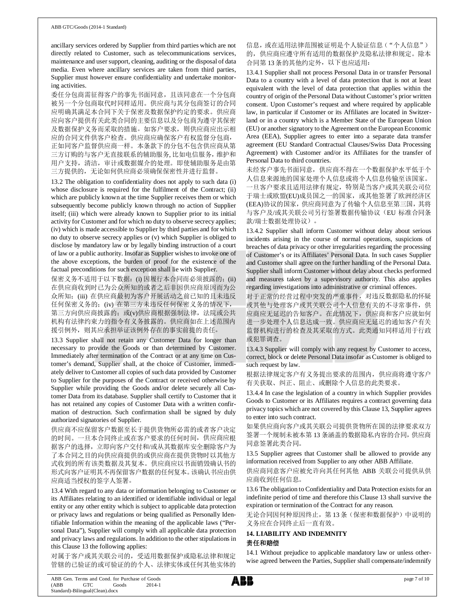ancillary services ordered by Supplier from third parties which are not directly related to Customer, such as telecommunications services, maintenance and user support, cleaning, auditing or the disposal of data media. Even where ancillary services are taken from third parties, Supplier must however ensure confidentiality and undertake monitoring activities.

委任分包商需征得客户的事先书面同意,且该同意在一个分包商 被另一个分包商取代时同样适用。供应商与其分包商签订的合同 应明确其满足本合同下关于保密及数据保护约定的要求。供应商 应向客户提供有关此类合同的主要信息以及分包商为遵守其保密 及数据保护义务而采取的措施。如客户要求,则供应商应出示相 应的合同文件供客户检查。供应商应确保客户有权监督分包商, 正如同客户监督供应商一样。本条款下的分包不包含供应商从第 三方订购的与客户无直接联系的辅助服务, 比如电信服务,维护和 用户支持,清洁,审计或数据媒介的处理。即使辅助服务是由第 三方提供的,无论如何供应商必须确保保密性并进行监督。

13.2 The obligation to confidentiality does not apply to such data (i) whose disclosure is required for the fulfilment of the Contract; (ii) which are publicly known at the time Supplier receives them or which subsequently become publicly known through no action of Supplier itself; (iii) which were already known to Supplier prior to its initial activity for Customer and for which no duty to observe secrecy applies; (iv) which is made accessible to Supplier by third parties and for which no duty to observe secrecy applies or (v) which Supplier is obliged to disclose by mandatory law or by legally binding instruction of a court of law or a public authority. Insofar as Supplier wishes to invoke one of the above exceptions, the burden of proof for the existence of the factual preconditions for such exception shall lie with Supplier.

保密义务不适用于以下数据:(i) 因履行本合同而必须披露的;(ii) 在供应商收到时已为公众所知的或者之后非因供应商原因而为公 众所知;(iii) 在供应商最初为客户开展活动之前已知的且未违反 任何保密义务的;(iv) 在第三方未违反任何保密义务的情况下, 第三方向供应商披露的; 或(v)供应商根据强制法律, 法院或公共 机构有法律约束力的指令有义务披露的。供应商如在上述范围内 援引例外,则其应承担举证该例外存在的事实前提的责任。

13.3 Supplier shall not retain any Customer Data for longer than necessary to provide the Goods or than determined by Customer. Immediately after termination of the Contract or at any time on Customer's demand, Supplier shall, at the choice of Customer, immediately deliver to Customer all copies of such data provided by Customer to Supplier for the purposes of the Contract or received otherwise by Supplier while providing the Goods and/or delete securely all Customer Data from its database. Supplier shall certify to Customer that it has not retained any copies of Customer Data with a written confirmation of destruction. Such confirmation shall be signed by duly authorized signatories of Supplier.

供应商不应保留客户数据至长于提供货物所必需的或者客户决定 的时间。一旦本合同终止或在客户要求的任何时间,供应商应根 据客户的选择,立即向客户交付和/或从其数据库安全删除客户为 了本合同之目的向供应商提供的或供应商在提供货物时以其他方 式收到的所有该类数据及其复本。供应商应以书面销毁确认书的 形式向客户证明其不再保留客户数据的任何复本。该确认书应由供 应商适当授权的签字人签署。

13.4 With regard to any data or information belonging to Customer or its Affiliates relating to an identified or identifiable individual or legal entity or any other entity which is subject to applicable data protection or privacy laws and regulations or being qualified as Personally Identifiable Information within the meaning of the applicable laws ("Personal Data"), Supplier will comply with all applicable data protection and privacy laws and regulations. In addition to the other stipulations in this Clause 13 the following applies:

对属于客户或其关联公司的,受适用数据保护或隐私法律和规定 管辖的已验证的或可验证的的个人、法律实体或任何其他实体的 信息,或在适用法律范围被证明是个人验证信息("个人信息") 的,供应商应遵守所有适用的数据保护及隐私法律和规定。除本 合同第 13 条的其他约定外,以下也应适用:

13.4.1 Supplier shall not process Personal Data in or transfer Personal Data to a country with a level of data protection that is not at least equivalent with the level of data protection that applies within the country of origin of the Personal Data without Customer's prior written consent. Upon Customer's request and where required by applicable law, in particular if Customer or its Affiliates are located in Switzerland or in a country which is a Member State of the European Union (EU) or another signatory to the Agreement on the European Economic Area (EEA), Supplier agrees to enter into a separate data transfer agreement (EU Standard Contractual Clauses/Swiss Data Processing Agreement) with Customer and/or its Affiliates for the transfer of Personal Data to third countries.

未经客户事先书面同意,供应商不得在一个数据保护水平低于个 人信息来源地的国家处理个人信息或将个人信息传输至该国家。 一旦客户要求且适用法律有规定,特别是当客户或其关联公司位 于瑞士或欧盟(EU)成员国之一的国家,或其他签署了欧洲经济区 (EEA)协议的国家,供应商同意为了传输个人信息至第三国,其将 与客户及/或其关联公司另行签署数据传输协议(EU 标准合同条 款/瑞士数据处理协议)。

13.4.2 Supplier shall inform Customer without delay about serious incidents arising in the course of normal operations, suspicions of breaches of data privacy or other irregularities regarding the processing of Customer's or its Affiliates' Personal Data. In such cases Supplier and Customer shall agree on the further handling of the Personal Data. Supplier shall inform Customer without delay about checks performed and measures taken by a supervisory authority. This also applies regarding investigations into administrative or criminal offences.

对于正常的经营过程中突发的严重事件,对违反数据隐私的怀疑 或其他与处理客户或其关联公司个人信息有关的不寻常事件,供 应商应无延迟的告知客户。在此情况下,供应商和客户应就如何 进一步处理个人信息达成一致。供应商应无延迟的通知客户有关 监督机构进行的检查及其采取的方式。此类通知同样适用于行政 或犯罪调查。

13.4.3 Supplier will comply with any request by Customer to access, correct, block or delete Personal Data insofar as Customer is obliged to such request by law.

根据法律规定客户有义务提出要求的范围内,供应商将遵守客户 有关获取、纠正、阻止、或删除个人信息的此类要求。

13.4.4 In case the legislation of a country in which Supplier provides Goods to Customer or its Affiliates requires a contract governing data privacy topics which are not covered by this Clause 13, Supplier agrees to enter into such contract.

如果供应商向客户或其关联公司提供货物所在国的法律要求双方 签署一个规制未被本第 13 条涵盖的数据隐私内容的合同,供应商 同意签署此类合同。

13.5 Supplier agrees that Customer shall be allowed to provide any information received from Supplier to any other ABB Affiliate.

供应商同意客户应被允许向其任何其他 ABB 关联公司提供从供 应商收到任何信息。

13.6 The obligation to Confidentiality and Data Protection exists for an indefinite period of time and therefore this Clause 13 shall survive the expiration or termination of the Contract for any reason.

无论合同因何种原因终止, 第13条(保密和数据保护)中说明的 义务应在合同终止后一直有效。

#### **14. LIABILITY AND INDEMNITY** 责任和赔偿

14.1 Without prejudice to applicable mandatory law or unless otherwise agreed between the Parties, Supplier shall compensate/indemnify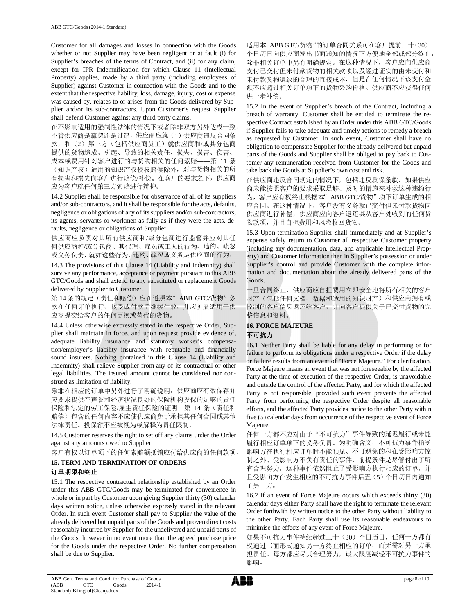Customer for all damages and losses in connection with the Goods whether or not Supplier may have been negligent or at fault (i) for Supplier's breaches of the terms of Contract, and (ii) for any claim, except for IPR Indemnification for which Clause 11 (Intellectual Property) applies, made by a third party (including employees of Supplier) against Customer in connection with the Goods and to the extent that the respective liability, loss, damage, injury, cost or expense was caused by, relates to or arises from the Goods delivered by Supplier and/or its sub-contractors. Upon Customer's request Supplier shall defend Customer against any third party claims.

在不影响适用的强制性法律的情况下或者除非双方另外达成一致, 不管供应商是疏忽还是过错,供应商应就(1)供应商违反合同条 款,和(2)第三方(包括供应商员工)就供应商和/或其分包商 提供的货物造成、引起、导致的相关责任、损失、损害、伤害、

成本或费用针对客户进行的与货物相关的任何索赔——第 11 条 (知识产权)适用的知识产权侵权赔偿除外,对与货物相关的所 有损害和损失向客户进行赔偿/补偿。在客户的要求之下,供应商 应为客户就任何第三方索赔进行辩护。

14.2 Supplier shall be responsible for observance of all of its suppliers and/or sub-contractors, and it shall be responsible for the acts, defaults, negligence or obligations of any of its suppliers and/or sub-contractors, its agents, servants or workmen as fully as if they were the acts, defaults, negligence or obligations of Supplier.

供应商应负责对其所有供应商和/或分包商进行监管并应对其任 何供应商和/或分包商、其代理、雇员或工人的行为、违约、疏忽 或义务负责,就如这些行为、违约、疏忽或义务是供应商的行为。

14.3 The provisions of this Clause 14 (Liability and Indemnity) shall survive any performance, acceptance or payment pursuant to this ABB GTC/Goods and shall extend to any substituted or replacement Goods delivered by Supplier to Customer.

第 14 条的规定(责任和赔偿)应在遵照本" ABB GTC/货物"条 款在任何订单执行、接受或付款后继续生效,并应扩展适用于供 应商提交给客户的任何更换或替代的货物。

14.4 Unless otherwise expressly stated in the respective Order, Supplier shall maintain in force, and upon request provide evidence of, adequate liability insurance and statutory worker's compensation/employer's liability insurance with reputable and financially sound insurers. Nothing contained in this Clause 14 (Liability and Indemnity) shall relieve Supplier from any of its contractual or other legal liabilities. The insured amount cannot be considered nor construed as limitation of liability.

除非在相应的订单中另外进行了明确说明,供应商应有效保存并 应要求提供在声誉和经济状况良好的保险机构投保的足够的责任 保险和法定的劳工保险/雇主责任保险的证明。第 14 条(责任和 赔偿)包含的任何内容不应使供应商免于承担其任何合同或其他 法律责任。投保额不应被视为或解释为责任限制。

14.5 Customer reserves the right to set off any claims under the Order against any amounts owed to Supplier.

客户有权以订单项下的任何索赔额抵销应付给供应商的任何款项。

#### **15. TERM AND TERMINATION OF ORDERS** 订单期限和终止

15.1 The respective contractual relationship established by an Order under this ABB GTC/Goods may be terminated for convenience in whole or in part by Customer upon giving Supplier thirty (30) calendar days written notice, unless otherwise expressly stated in the relevant Order. In such event Customer shall pay to Supplier the value of the already delivered but unpaid parts of the Goods and proven direct costs reasonably incurred by Supplier for the undelivered and unpaid parts of the Goods, however in no event more than the agreed purchase price for the Goods under the respective Order. No further compensation shall be due to Supplier.

适用本 ABB GTC/货物"的订单合同关系可在客户提前三十(30) 个日历日向供应商发出书面通知的情况下方便地全部或部分终止, 除非相关订单中另有明确规定。在这种情况下,客户应向供应商 支付已交付但未付款货物的相关款项以及经过证实的由未交付和 未付款货物遭致的合理的直接成本,但是在任何情况下该支付金 额不应超过相关订单项下的货物采购价格。供应商不应获得任何 进一步补偿。

15.2 In the event of Supplier's breach of the Contract, including a breach of warranty, Customer shall be entitled to terminate the respective Contract established by an Order under this ABB GTC/Goods if Supplier fails to take adequate and timely actions to remedy a breach as requested by Customer. In such event, Customer shall have no obligation to compensate Supplier for the already delivered but unpaid parts of the Goods and Supplier shall be obliged to pay back to Customer any remuneration received from Customer for the Goods and take back the Goods at Supplier's own cost and risk.

在供应商违反合同规定的情况下,包括违反质保条款,如果供应 商未能按照客户的要求采取足够、及时的措施来补救这种违约行 为,客户应有权终止根据本"ABB GTC/货物"项下订单生成的相 应合同。在这种情况下,客户没有义务就已交付但未付款货物向 供应商进行补偿,供应商应向客户退还其从客户处收到的任何货 物款项,并且自担费用和风险收回货物。

15.3 Upon termination Supplier shall immediately and at Supplier's expense safely return to Customer all respective Customer property (including any documentation, data, and applicable Intellectual Property) and Customer information then in Supplier's possession or under Supplier's control and provide Customer with the complete information and documentation about the already delivered parts of the Goods.

一旦合同终止,供应商应自担费用立即安全地将所有相关的客户 财产(包括任何文档、数据和适用的知识财产)和供应商拥有或 控制的客户信息返还给客户,并向客户提供关于已交付货物的完 整信息和资料。

# **16. FORCE MAJEURE** 不可抗力

16.1 Neither Party shall be liable for any delay in performing or for failure to perform its obligations under a respective Order if the delay or failure results from an event of "Force Majeure." For clarification, Force Majeure means an event that was not foreseeable by the affected Party at the time of execution of the respective Order, is unavoidable and outside the control of the affected Party, and for which the affected Party is not responsible, provided such event prevents the affected Party from performing the respective Order despite all reasonable efforts, and the affected Party provides notice to the other Party within five (5) calendar days from occurrence of the respective event of Force Majeure.

任何一方都不应对由于"不可抗力"事件导致的延迟履行或未能 履行相应订单项下的义务负责。为明确含义,不可抗力事件指受 影响方在执行相应订单时不能预见、不可避免的和在受影响方控 制之外、受影响方不负有责任的事件,前提条件是尽管付出了所 有合理努力,这种事件依然阻止了受影响方执行相应的订单,并 且受影响方在发生相应的不可抗力事件后五(5)个日历日内通知 了另一方。

16.2 If an event of Force Majeure occurs which exceeds thirty (30) calendar days either Party shall have the right to terminate the relevant Order forthwith by written notice to the other Party without liability to the other Party. Each Party shall use its reasonable endeavours to minimise the effects of any event of Force Majeure.

如果不可抗力事件持续超过三十(30)个日历日,任何一方都有 权通过书面形式通知另一方终止相应的订单,而无需对另一方承 担责任。每方都应尽其合理努力,最大限度减轻不可抗力事件的 影响。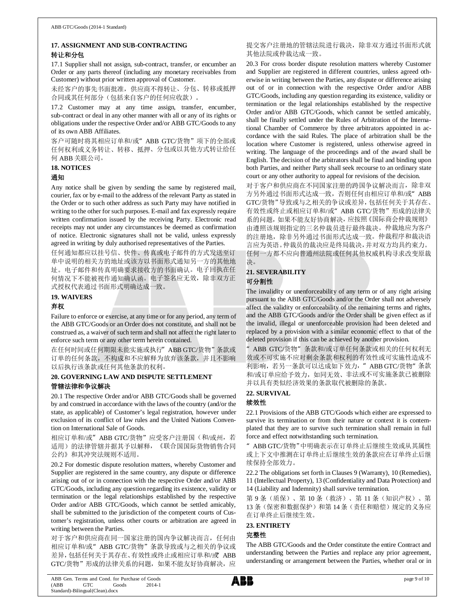# **17. ASSIGNMENT AND SUB-CONTRACTING** 转让和分包

17.1 Supplier shall not assign, sub-contract, transfer, or encumber an Order or any parts thereof (including any monetary receivables from Customer) without prior written approval of Customer.

未经客户的事先书面批准,供应商不得转让、分包、转移或抵押 合同或其任何部分(包括来自客户的任何应收款)。

17.2 Customer may at any time assign, transfer, encumber, sub-contract or deal in any other manner with all or any of its rights or obligations under the respective Order and/or ABB GTC/Goods to any of its own ABB Affiliates.

客户可随时将其相应订单和/或"ABB GTC/货物"项下的全部或 任何权利或义务转让、转移、抵押、分包或以其他方式转让给任 何 ABB 关联公司。

#### **18. NOTICES**

#### 通知

Any notice shall be given by sending the same by registered mail, courier, fax or by e-mail to the address of the relevant Party as stated in the Order or to such other address as such Party may have notified in writing to the other for such purposes. E-mail and fax expressly require written confirmation issued by the receiving Party. Electronic read receipts may not under any circumstances be deemed as confirmation of notice. Electronic signatures shall not be valid, unless expressly agreed in writing by duly authorised representatives of the Parties.

任何通知都应以挂号信、快件、传真或电子邮件的方式发送至订 单中说明的相关方的地址或该方以书面形式通知另一方的其他地 址。电子邮件和传真明确要求接收方的书面确认。电子回执在任 何情况下不能被视作通知确认函。电子签名应无效,除非双方正 式授权代表通过书面形式明确达成一致。

## **19. WAIVERS**

#### 弃权

Failure to enforce or exercise, at any time or for any period, any term of the ABB GTC/Goods or an Order does not constitute, and shall not be construed as, a waiver of such term and shall not affect the right later to enforce such term or any other term herein contained.

在任何时间或任何期限未能实施或执行"ABB GTC/货物"条款或 订单的任何条款,不构成和不应解释为放弃该条款,并且不影响 以后执行该条款或任何其他条款的权利。

# **20. GOVERNING LAW AND DISPUTE SETTLEMENT** 管辖法律和争议解决

20.1 The respective Order and/or ABB GTC/Goods shall be governed by and construed in accordance with the laws of the country (and/or the state, as applicable) of Customer's legal registration, however under exclusion of its conflict of law rules and the United Nations Convention on International Sale of Goods.

相应订单和/或" ABB GTC/货物"应受客户注册国(和/或州, 若 适用)的法律管辖并据其予以解释,《联合国国际货物销售合同 公约》和其冲突法规则不适用。

20.2 For domestic dispute resolution matters, whereby Customer and Supplier are registered in the same country, any dispute or difference arising out of or in connection with the respective Order and/or ABB GTC/Goods, including any question regarding its existence, validity or termination or the legal relationships established by the respective Order and/or ABB GTC/Goods, which cannot be settled amicably, shall be submitted to the jurisdiction of the competent courts of Customer's registration, unless other courts or arbitration are agreed in writing between the Parties.

对于客户和供应商在同一国家注册的国内争议解决而言,任何由 相应订单和/或"ABB GTC/货物"条款导致或与之相关的争议或 差异,包括任何关于其存在、有效性或终止或相应订单和/或 ABB GTC/货物"形成的法律关系的问题,如果不能友好协商解决,应 提交客户注册地的管辖法院进行裁决,除非双方通过书面形式就 其他法院或仲裁达成一致。

20.3 For cross border dispute resolution matters whereby Customer and Supplier are registered in different countries, unless agreed otherwise in writing between the Parties, any dispute or difference arising out of or in connection with the respective Order and/or ABB GTC/Goods, including any question regarding its existence, validity or termination or the legal relationships established by the respective Order and/or ABB GTC/Goods, which cannot be settled amicably, shall be finally settled under the Rules of Arbitration of the International Chamber of Commerce by three arbitrators appointed in accordance with the said Rules. The place of arbitration shall be the location where Customer is registered, unless otherwise agreed in writing. The language of the proceedings and of the award shall be English. The decision of the arbitrators shall be final and binding upon both Parties, and neither Party shall seek recourse to an ordinary state court or any other authority to appeal for revisions of the decision.

对于客户和供应商在不同国家注册的跨国争议解决而言,除非双 方另外通过书面形式达成一致,否则任何由相应订单和/或"ABB GTC/货物"导致或与之相关的争议或差异,包括任何关于其存在、 有效性或终止或相应订单和/或" ABB GTC/货物"形成的法律关 系的问题,如果不能友好协商解决,应按照《国际商会仲裁规则》 由遵照该规则指定的三名仲裁员进行最终裁决。仲裁地应为客户 的注册地,除非另外通过书面形式达成一致。仲裁程序和裁决语 言应为英语。仲裁员的裁决应是终局裁决,并对双方均具约束力。 任何一方都不应向普通州法院或任何其他权威机构寻求改变原裁 决。

# **21. SEVERABILITY** 可分割性

The invalidity or unenforceability of any term or of any right arising pursuant to the ABB GTC/Goods and/or the Order shall not adversely affect the validity or enforceability of the remaining terms and rights, and the ABB GTC/Goods and/or the Order shall be given effect as if the invalid, illegal or unenforceable provision had been deleted and replaced by a provision with a similar economic effect to that of the deleted provision if this can be achieved by another provision.

"ABB GTC/货物"条款和/或订单任何条款或相关的任何权利无 效或不可实施不应对剩余条款和权利的有效性或可实施性造成不 利影响, 若另一条款可以达成如下效力, " ABB GTC/货物" 条款 和/或订单应给予效力,如同无效、非法或不可实施条款已被删除 并以具有类似经济效果的条款取代被删除的条款。

# **22. SURVIVAL**

# 续效性

22.1 Provisions of the ABB GTC/Goods which either are expressed to survive its termination or from their nature or context it is contemplated that they are to survive such termination shall remain in full force and effect notwithstanding such termination.

"ABB GTC/货物"中明确表示在订单终止后继续生效或从其属性 或上下文中推测在订单终止后继续生效的条款应在订单终止后继 续保持全部效力。

22.2 The obligations set forth in Clauses 9 (Warranty), 10 (Remedies), 11 (Intellectual Property), 13 (Confidentiality and Data Protection) and 14 (Liability and Indemnity) shall survive termination.

第 9 条(质保)、第 10 条(救济)、第 11 条(知识产权)、第 13 条(保密和数据保护)和第 14 条(责任和赔偿)规定的义务应 在订单终止后继续生效。

# **23. ENTIRETY**

# 完整性

The ABB GTC/Goods and the Order constitute the entire Contract and understanding between the Parties and replace any prior agreement, understanding or arrangement between the Parties, whether oral or in